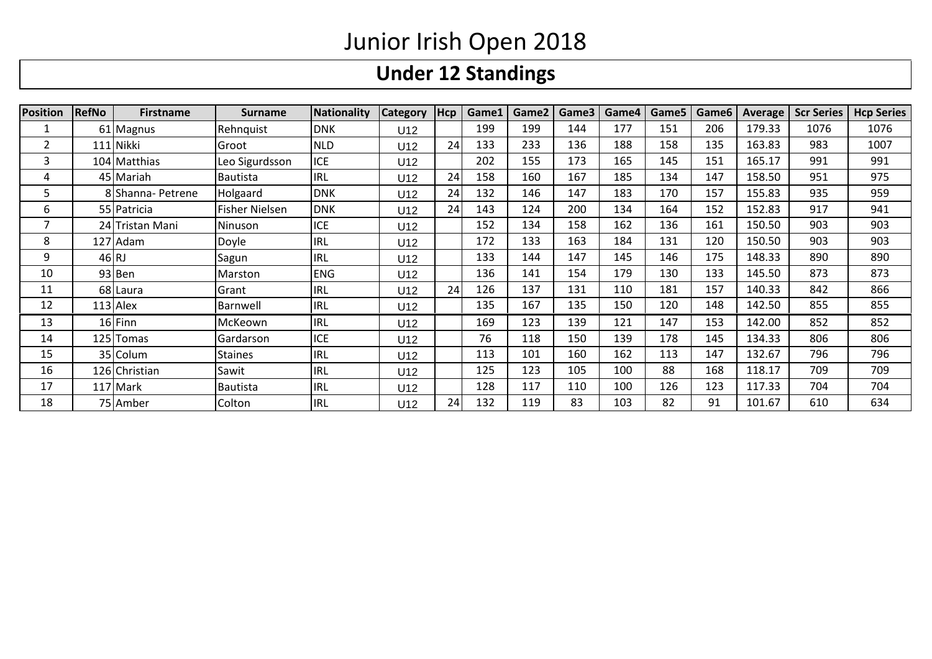## **Under 12 Standings**

| <b>Position</b> | <b>RefNo</b> | <b>Firstname</b>  | <b>Surname</b>  | Nationality | <b>Category</b> | Hcp | Game1 | Game2 | Game3 | Game4 | Game5 | Game <sub>6</sub> | Average | <b>Scr Series</b> | <b>Hcp Series</b> |
|-----------------|--------------|-------------------|-----------------|-------------|-----------------|-----|-------|-------|-------|-------|-------|-------------------|---------|-------------------|-------------------|
|                 |              | 61 Magnus         | Rehnquist       | <b>DNK</b>  | U12             |     | 199   | 199   | 144   | 177   | 151   | 206               | 179.33  | 1076              | 1076              |
|                 |              | 111 Nikki         | Groot           | <b>NLD</b>  | U12             | 24  | 133   | 233   | 136   | 188   | 158   | 135               | 163.83  | 983               | 1007              |
| 3               |              | 104 Matthias      | Leo Sigurdsson  | <b>ICE</b>  | U12             |     | 202   | 155   | 173   | 165   | 145   | 151               | 165.17  | 991               | 991               |
| 4               |              | 45 Mariah         | <b>Bautista</b> | <b>IRL</b>  | U12             | 24  | 158   | 160   | 167   | 185   | 134   | 147               | 158.50  | 951               | 975               |
| כ               |              | 8 Shanna- Petrene | Holgaard        | <b>DNK</b>  | U12             | 24  | 132   | 146   | 147   | 183   | 170   | 157               | 155.83  | 935               | 959               |
| 6               |              | 55 Patricia       | Fisher Nielsen  | <b>DNK</b>  | U12             | 24  | 143   | 124   | 200   | 134   | 164   | 152               | 152.83  | 917               | 941               |
|                 |              | 24 Tristan Mani   | Ninuson         | ICE         | U12             |     | 152   | 134   | 158   | 162   | 136   | 161               | 150.50  | 903               | 903               |
| 8               |              | 127 Adam          | Doyle           | <b>IRL</b>  | U12             |     | 172   | 133   | 163   | 184   | 131   | 120               | 150.50  | 903               | 903               |
| 9               | 46 R         |                   | Sagun           | <b>IRL</b>  | U12             |     | 133   | 144   | 147   | 145   | 146   | 175               | 148.33  | 890               | 890               |
| 10              |              | 93 Ben            | Marston         | <b>ENG</b>  | U12             |     | 136   | 141   | 154   | 179   | 130   | 133               | 145.50  | 873               | 873               |
| 11              |              | 68 Laura          | Grant           | <b>IRL</b>  | U12             | 24  | 126   | 137   | 131   | 110   | 181   | 157               | 140.33  | 842               | 866               |
| 12              |              | $113$ Alex        | Barnwell        | <b>IRL</b>  | U12             |     | 135   | 167   | 135   | 150   | 120   | 148               | 142.50  | 855               | 855               |
| 13              |              | 16 Finn           | McKeown         | <b>IRL</b>  | U12             |     | 169   | 123   | 139   | 121   | 147   | 153               | 142.00  | 852               | 852               |
| 14              |              | 125 Tomas         | Gardarson       | <b>ICE</b>  | U12             |     | 76    | 118   | 150   | 139   | 178   | 145               | 134.33  | 806               | 806               |
| 15              |              | 35 Colum          | <b>Staines</b>  | <b>IRL</b>  | U12             |     | 113   | 101   | 160   | 162   | 113   | 147               | 132.67  | 796               | 796               |
| 16              |              | 126 Christian     | Sawit           | <b>IRL</b>  | U12             |     | 125   | 123   | 105   | 100   | 88    | 168               | 118.17  | 709               | 709               |
| 17              |              | 117 Mark          | Bautista        | <b>IRL</b>  | U12             |     | 128   | 117   | 110   | 100   | 126   | 123               | 117.33  | 704               | 704               |
| 18              |              | 75 Amber          | Colton          | <b>IRL</b>  | U12             | 24  | 132   | 119   | 83    | 103   | 82    | 91                | 101.67  | 610               | 634               |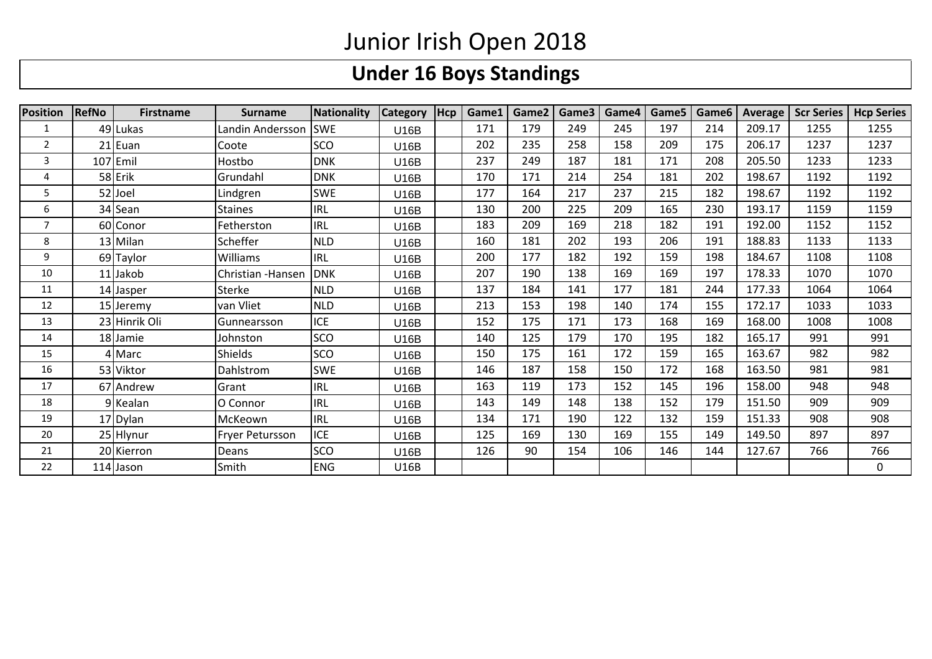### **Under 16 Boys Standings**

| <b>Position</b> | <b>RefNo</b> | <b>Firstname</b> | <b>Surname</b>     | Nationality | <b>Category</b> | Hcp | Game1 | Game2 | Game3 | Game4 | Game5 | Game <sub>6</sub> | <b>Average</b> | <b>Scr Series</b> | <b>Hcp Series</b> |
|-----------------|--------------|------------------|--------------------|-------------|-----------------|-----|-------|-------|-------|-------|-------|-------------------|----------------|-------------------|-------------------|
| 1               |              | 49 Lukas         | Landin Andersson   | <b>SWE</b>  | U16B            |     | 171   | 179   | 249   | 245   | 197   | 214               | 209.17         | 1255              | 1255              |
| 2               |              | 21 Euan          | Coote              | <b>SCO</b>  | U16B            |     | 202   | 235   | 258   | 158   | 209   | 175               | 206.17         | 1237              | 1237              |
| 3               |              | $107$ Emil       | Hostbo             | <b>DNK</b>  | U16B            |     | 237   | 249   | 187   | 181   | 171   | 208               | 205.50         | 1233              | 1233              |
| 4               |              | 58 Erik          | Grundahl           | <b>DNK</b>  | U16B            |     | 170   | 171   | 214   | 254   | 181   | 202               | 198.67         | 1192              | 1192              |
| 5               |              | 52 Joel          | Lindgren           | <b>SWE</b>  | U16B            |     | 177   | 164   | 217   | 237   | 215   | 182               | 198.67         | 1192              | 1192              |
| 6               |              | 34 Sean          | <b>Staines</b>     | <b>IRL</b>  | U16B            |     | 130   | 200   | 225   | 209   | 165   | 230               | 193.17         | 1159              | 1159              |
| 7               |              | 60 Conor         | Fetherston         | <b>IRL</b>  | U16B            |     | 183   | 209   | 169   | 218   | 182   | 191               | 192.00         | 1152              | 1152              |
| 8               |              | 13 Milan         | Scheffer           | <b>NLD</b>  | U16B            |     | 160   | 181   | 202   | 193   | 206   | 191               | 188.83         | 1133              | 1133              |
| 9               |              | 69 Taylor        | Williams           | <b>IRL</b>  | U16B            |     | 200   | 177   | 182   | 192   | 159   | 198               | 184.67         | 1108              | 1108              |
| 10              |              | 11 Jakob         | Christian - Hansen | <b>DNK</b>  | U16B            |     | 207   | 190   | 138   | 169   | 169   | 197               | 178.33         | 1070              | 1070              |
| 11              |              | 14 Jasper        | Sterke             | <b>NLD</b>  | U16B            |     | 137   | 184   | 141   | 177   | 181   | 244               | 177.33         | 1064              | 1064              |
| 12              |              | 15 Jeremy        | van Vliet          | <b>NLD</b>  | U16B            |     | 213   | 153   | 198   | 140   | 174   | 155               | 172.17         | 1033              | 1033              |
| 13              |              | 23 Hinrik Oli    | Gunnearsson        | <b>ICE</b>  | U16B            |     | 152   | 175   | 171   | 173   | 168   | 169               | 168.00         | 1008              | 1008              |
| 14              |              | 18 Jamie         | Johnston           | <b>SCO</b>  | U16B            |     | 140   | 125   | 179   | 170   | 195   | 182               | 165.17         | 991               | 991               |
| 15              |              | 4 Marc           | <b>Shields</b>     | <b>SCO</b>  | U16B            |     | 150   | 175   | 161   | 172   | 159   | 165               | 163.67         | 982               | 982               |
| 16              |              | 53 Viktor        | Dahlstrom          | <b>SWE</b>  | U16B            |     | 146   | 187   | 158   | 150   | 172   | 168               | 163.50         | 981               | 981               |
| 17              |              | 67 Andrew        | Grant              | <b>IRL</b>  | U16B            |     | 163   | 119   | 173   | 152   | 145   | 196               | 158.00         | 948               | 948               |
| 18              |              | 9 Kealan         | O Connor           | <b>IRL</b>  | U16B            |     | 143   | 149   | 148   | 138   | 152   | 179               | 151.50         | 909               | 909               |
| 19              |              | 17 Dylan         | McKeown            | <b>IRL</b>  | U16B            |     | 134   | 171   | 190   | 122   | 132   | 159               | 151.33         | 908               | 908               |
| 20              |              | 25 Hlynur        | Fryer Petursson    | <b>ICE</b>  | U16B            |     | 125   | 169   | 130   | 169   | 155   | 149               | 149.50         | 897               | 897               |
| 21              |              | 20 Kierron       | Deans              | <b>SCO</b>  | U16B            |     | 126   | 90    | 154   | 106   | 146   | 144               | 127.67         | 766               | 766               |
| 22              |              | 114 Jason        | Smith              | <b>ENG</b>  | <b>U16B</b>     |     |       |       |       |       |       |                   |                |                   | 0                 |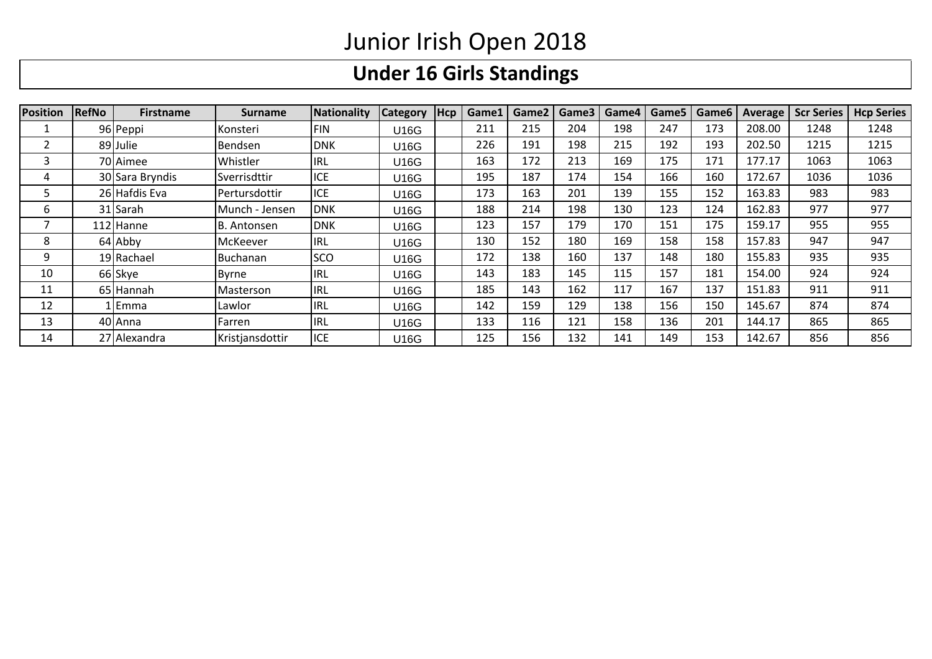# **Under 16 Girls Standings**

| <b>Position</b> | <b>RefNo</b> | <b>Firstname</b> | <b>Surname</b>  | Nationality | <b>Category</b> | Hcp | Game1 | Game2 | Game3 | Game4 | Game5 | Game6 | Average | <b>Scr Series</b> | <b>Hcp Series</b> |
|-----------------|--------------|------------------|-----------------|-------------|-----------------|-----|-------|-------|-------|-------|-------|-------|---------|-------------------|-------------------|
|                 |              | 96 Peppi         | Konsteri        | <b>FIN</b>  | U16G            |     | 211   | 215   | 204   | 198   | 247   | 173   | 208.00  | 1248              | 1248              |
|                 |              | 89 Julie         | Bendsen         | <b>DNK</b>  | U16G            |     | 226   | 191   | 198   | 215   | 192   | 193   | 202.50  | 1215              | 1215              |
|                 |              | 70 Aimee         | Whistler        | <b>IRL</b>  | U16G            |     | 163   | 172   | 213   | 169   | 175   | 171   | 177.17  | 1063              | 1063              |
|                 |              | 30 Sara Bryndis  | Sverrisdttir    | ICE         | U16G            |     | 195   | 187   | 174   | 154   | 166   | 160   | 172.67  | 1036              | 1036              |
|                 |              | 26 Hafdis Eva    | l Pertursdottir | <b>ICE</b>  | U16G            |     | 173   | 163   | 201   | 139   | 155   | 152   | 163.83  | 983               | 983               |
| ь               |              | 31 Sarah         | Munch - Jensen  | <b>DNK</b>  | U16G            |     | 188   | 214   | 198   | 130   | 123   | 124   | 162.83  | 977               | 977               |
|                 |              | 112 Hanne        | B. Antonsen     | <b>DNK</b>  | U16G            |     | 123   | 157   | 179   | 170   | 151   | 175   | 159.17  | 955               | 955               |
| 8               |              | 64 Abby          | McKeever        | <b>IRL</b>  | U16G            |     | 130   | 152   | 180   | 169   | 158   | 158   | 157.83  | 947               | 947               |
| 9               |              | 19 Rachael       | <b>Buchanan</b> | <b>SCO</b>  | U16G            |     | 172   | 138   | 160   | 137   | 148   | 180   | 155.83  | 935               | 935               |
| 10              |              | 66 Skye          | Byrne           | <b>IRL</b>  | U16G            |     | 143   | 183   | 145   | 115   | 157   | 181   | 154.00  | 924               | 924               |
| 11              |              | 65 Hannah        | Masterson       | <b>IRL</b>  | U16G            |     | 185   | 143   | 162   | 117   | 167   | 137   | 151.83  | 911               | 911               |
| 12              |              | Emma             | Lawlor          | <b>IRL</b>  | U16G            |     | 142   | 159   | 129   | 138   | 156   | 150   | 145.67  | 874               | 874               |
| 13              |              | 40 Anna          | Farren          | <b>IRL</b>  | U16G            |     | 133   | 116   | 121   | 158   | 136   | 201   | 144.17  | 865               | 865               |
| 14              |              | 27 Alexandra     | Kristjansdottir | <b>ICE</b>  | U16G            |     | 125   | 156   | 132   | 141   | 149   | 153   | 142.67  | 856               | 856               |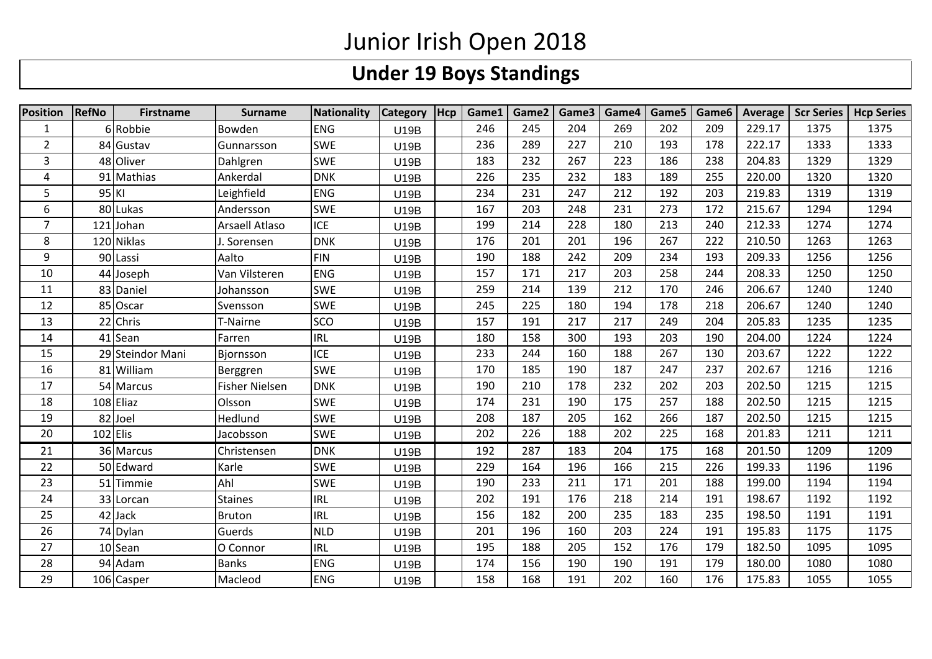## **Under 19 Boys Standings**

| <b>Position</b> | <b>RefNo</b> | <b>Firstname</b> | <b>Surname</b>        | Nationality | <b>Category</b> | Hcp | Game1 | Game2 | Game3 | Game4 | Game5 | Game6 | Average | <b>Scr Series</b> | <b>Hcp Series</b> |
|-----------------|--------------|------------------|-----------------------|-------------|-----------------|-----|-------|-------|-------|-------|-------|-------|---------|-------------------|-------------------|
| $\mathbf{1}$    |              | 6 Robbie         | Bowden                | <b>ENG</b>  | U19B            |     | 246   | 245   | 204   | 269   | 202   | 209   | 229.17  | 1375              | 1375              |
| $\overline{2}$  |              | 84 Gustav        | Gunnarsson            | <b>SWE</b>  | <b>U19B</b>     |     | 236   | 289   | 227   | 210   | 193   | 178   | 222.17  | 1333              | 1333              |
| 3               |              | 48 Oliver        | Dahlgren              | <b>SWE</b>  | U19B            |     | 183   | 232   | 267   | 223   | 186   | 238   | 204.83  | 1329              | 1329              |
| 4               |              | 91 Mathias       | Ankerdal              | <b>DNK</b>  | U19B            |     | 226   | 235   | 232   | 183   | 189   | 255   | 220.00  | 1320              | 1320              |
| 5               | 95 KI        |                  | Leighfield            | <b>ENG</b>  | U19B            |     | 234   | 231   | 247   | 212   | 192   | 203   | 219.83  | 1319              | 1319              |
| 6               |              | 80 Lukas         | Andersson             | <b>SWE</b>  | U19B            |     | 167   | 203   | 248   | 231   | 273   | 172   | 215.67  | 1294              | 1294              |
| $\overline{7}$  |              | 121 Johan        | Arsaell Atlaso        | <b>ICE</b>  | U19B            |     | 199   | 214   | 228   | 180   | 213   | 240   | 212.33  | 1274              | 1274              |
| 8               |              | 120 Niklas       | J. Sorensen           | <b>DNK</b>  | U19B            |     | 176   | 201   | 201   | 196   | 267   | 222   | 210.50  | 1263              | 1263              |
| 9               |              | 90 Lassi         | Aalto                 | <b>FIN</b>  | U19B            |     | 190   | 188   | 242   | 209   | 234   | 193   | 209.33  | 1256              | 1256              |
| 10              |              | 44 Joseph        | Van Vilsteren         | <b>ENG</b>  | U19B            |     | 157   | 171   | 217   | 203   | 258   | 244   | 208.33  | 1250              | 1250              |
| 11              |              | 83 Daniel        | Johansson             | <b>SWE</b>  | U19B            |     | 259   | 214   | 139   | 212   | 170   | 246   | 206.67  | 1240              | 1240              |
| 12              |              | 85 Oscar         | Svensson              | <b>SWE</b>  | U19B            |     | 245   | 225   | 180   | 194   | 178   | 218   | 206.67  | 1240              | 1240              |
| 13              | 22           | Chris            | T-Nairne              | <b>SCO</b>  | U19B            |     | 157   | 191   | 217   | 217   | 249   | 204   | 205.83  | 1235              | 1235              |
| 14              |              | 41 Sean          | Farren                | <b>IRL</b>  | U19B            |     | 180   | 158   | 300   | 193   | 203   | 190   | 204.00  | 1224              | 1224              |
| 15              |              | 29 Steindor Mani | Bjornsson             | <b>ICE</b>  | U19B            |     | 233   | 244   | 160   | 188   | 267   | 130   | 203.67  | 1222              | 1222              |
| 16              |              | 81 William       | Berggren              | <b>SWE</b>  | U19B            |     | 170   | 185   | 190   | 187   | 247   | 237   | 202.67  | 1216              | 1216              |
| 17              |              | 54 Marcus        | <b>Fisher Nielsen</b> | <b>DNK</b>  | U19B            |     | 190   | 210   | 178   | 232   | 202   | 203   | 202.50  | 1215              | 1215              |
| 18              |              | 108 Eliaz        | Olsson                | <b>SWE</b>  | U19B            |     | 174   | 231   | 190   | 175   | 257   | 188   | 202.50  | 1215              | 1215              |
| 19              |              | 82 Joel          | Hedlund               | <b>SWE</b>  | U19B            |     | 208   | 187   | 205   | 162   | 266   | 187   | 202.50  | 1215              | 1215              |
| 20              | $102$ Elis   |                  | Jacobsson             | <b>SWE</b>  | U19B            |     | 202   | 226   | 188   | 202   | 225   | 168   | 201.83  | 1211              | 1211              |
| 21              |              | 36 Marcus        | Christensen           | <b>DNK</b>  | U19B            |     | 192   | 287   | 183   | 204   | 175   | 168   | 201.50  | 1209              | 1209              |
| 22              |              | 50 Edward        | Karle                 | <b>SWE</b>  | U19B            |     | 229   | 164   | 196   | 166   | 215   | 226   | 199.33  | 1196              | 1196              |
| 23              |              | 51 Timmie        | Ahl                   | <b>SWE</b>  | <b>U19B</b>     |     | 190   | 233   | 211   | 171   | 201   | 188   | 199.00  | 1194              | 1194              |
| 24              |              | 33 Lorcan        | <b>Staines</b>        | <b>IRL</b>  | U19B            |     | 202   | 191   | 176   | 218   | 214   | 191   | 198.67  | 1192              | 1192              |
| 25              |              | 42 Jack          | <b>Bruton</b>         | <b>IRL</b>  | U19B            |     | 156   | 182   | 200   | 235   | 183   | 235   | 198.50  | 1191              | 1191              |
| 26              |              | 74 Dylan         | Guerds                | <b>NLD</b>  | U19B            |     | 201   | 196   | 160   | 203   | 224   | 191   | 195.83  | 1175              | 1175              |
| 27              |              | 10 Sean          | O Connor              | <b>IRL</b>  | U19B            |     | 195   | 188   | 205   | 152   | 176   | 179   | 182.50  | 1095              | 1095              |
| 28              |              | 94 Adam          | <b>Banks</b>          | <b>ENG</b>  | U19B            |     | 174   | 156   | 190   | 190   | 191   | 179   | 180.00  | 1080              | 1080              |
| 29              |              | 106 Casper       | Macleod               | <b>ENG</b>  | U19B            |     | 158   | 168   | 191   | 202   | 160   | 176   | 175.83  | 1055              | 1055              |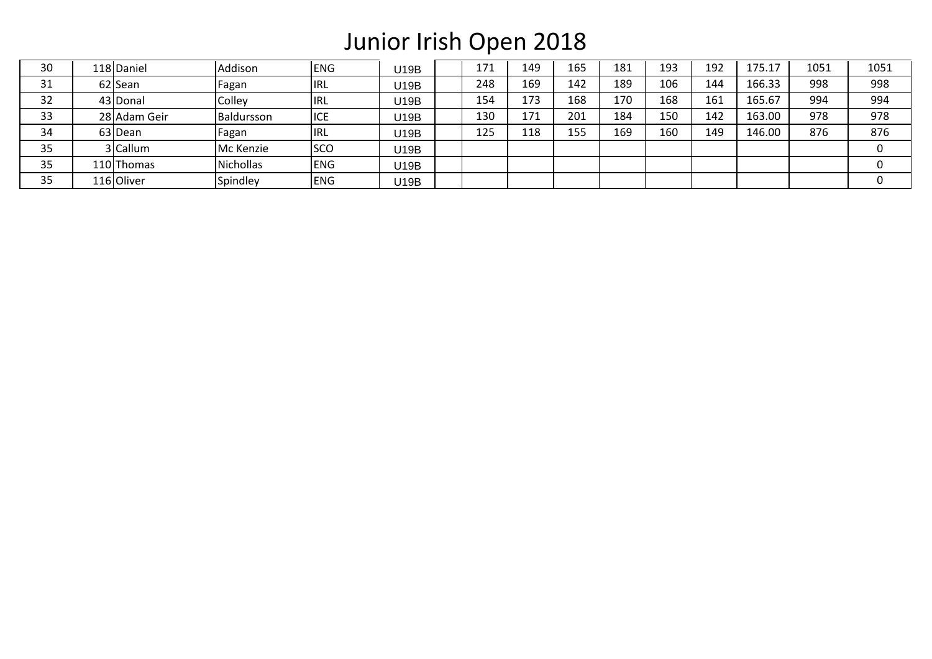| 30 | 118 Daniel   | Addison          | <b>ENG</b> | U19B | 171 | 149 | 165 | 181 | 193 | 192 | 175.1  | 1051 | 1051 |
|----|--------------|------------------|------------|------|-----|-----|-----|-----|-----|-----|--------|------|------|
| 31 | 62 Sean      | Fagan            | <b>IRL</b> | U19B | 248 | 169 | 142 | 189 | 106 | 144 | 166.33 | 998  | 998  |
| 32 | 43 Donal     | Colley           | <b>IRL</b> | U19B | 154 | 173 | 168 | 170 | 168 | 161 | 165.67 | 994  | 994  |
| 33 | 28 Adam Geir | Baldursson       | <b>ICE</b> | U19B | 130 | 171 | 201 | 184 | 150 | 142 | 163.00 | 978  | 978  |
| 34 | 63 Dean      | Fagan            | <b>IRL</b> | U19B | 125 | 118 | 155 | 169 | 160 | 149 | 146.00 | 876  | 876  |
| 35 | 3 Callum     | Mc Kenzie        | <b>SCO</b> | U19B |     |     |     |     |     |     |        |      |      |
| 35 | 110 Thomas   | <b>Nichollas</b> | <b>ENG</b> | U19B |     |     |     |     |     |     |        |      |      |
| 35 | 116 Oliver   | Spindley         | <b>ENG</b> | U19B |     |     |     |     |     |     |        |      |      |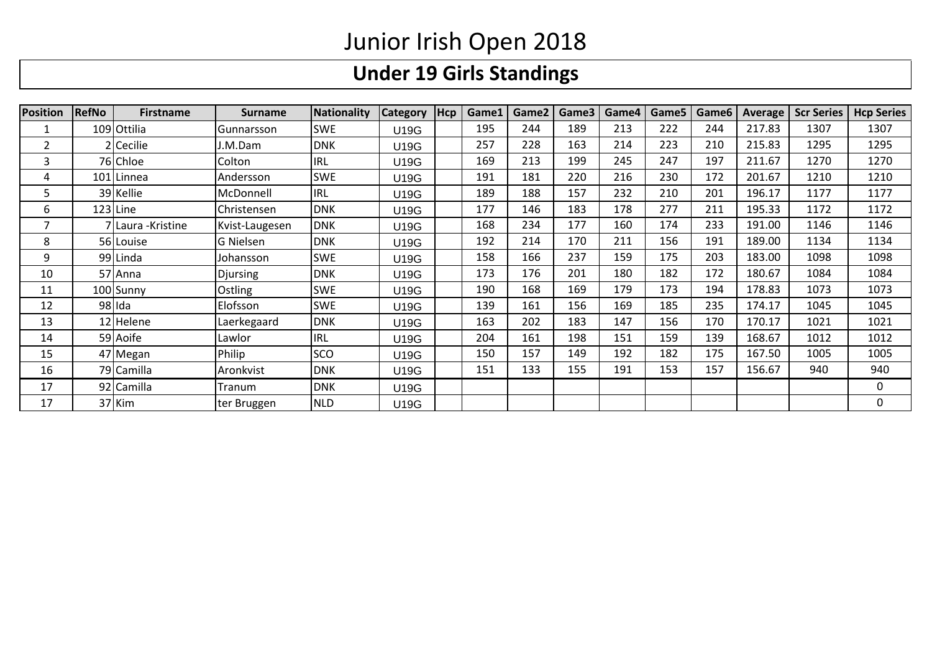# **Under 19 Girls Standings**

| <b>Position</b> | <b>RefNo</b> | <b>Firstname</b>   | <b>Surname</b>  | <b>Nationality</b> | <b>Category</b> | Hcp | Game1 | Game2 | Game3 | Game4 | Game5 | Game <sub>6</sub> | Average | <b>Scr Series</b> | <b>Hcp Series</b> |
|-----------------|--------------|--------------------|-----------------|--------------------|-----------------|-----|-------|-------|-------|-------|-------|-------------------|---------|-------------------|-------------------|
|                 |              | 109 Ottilia        | Gunnarsson      | <b>SWE</b>         | U19G            |     | 195   | 244   | 189   | 213   | 222   | 244               | 217.83  | 1307              | 1307              |
| $\overline{2}$  |              | 2 Cecilie          | J.M.Dam         | <b>DNK</b>         | U19G            |     | 257   | 228   | 163   | 214   | 223   | 210               | 215.83  | 1295              | 1295              |
| 3               |              | 76 Chloe           | Colton          | <b>IRL</b>         | U19G            |     | 169   | 213   | 199   | 245   | 247   | 197               | 211.67  | 1270              | 1270              |
| 4               |              | 101 Linnea         | Andersson       | <b>SWE</b>         | U19G            |     | 191   | 181   | 220   | 216   | 230   | 172               | 201.67  | 1210              | 1210              |
| 5               |              | 39 Kellie          | McDonnell       | <b>IRL</b>         | U19G            |     | 189   | 188   | 157   | 232   | 210   | 201               | 196.17  | 1177              | 1177              |
| 6               | 123 Line     |                    | Christensen     | <b>DNK</b>         | U19G            |     | 177   | 146   | 183   | 178   | 277   | 211               | 195.33  | 1172              | 1172              |
|                 |              | 7 Laura - Kristine | Kvist-Laugesen  | <b>DNK</b>         | U19G            |     | 168   | 234   | 177   | 160   | 174   | 233               | 191.00  | 1146              | 1146              |
| 8               |              | 56 Louise          | G Nielsen       | <b>DNK</b>         | U19G            |     | 192   | 214   | 170   | 211   | 156   | 191               | 189.00  | 1134              | 1134              |
| 9               |              | 99 Linda           | Johansson       | <b>SWE</b>         | U19G            |     | 158   | 166   | 237   | 159   | 175   | 203               | 183.00  | 1098              | 1098              |
| 10              |              | 57 Anna            | <b>Djursing</b> | <b>DNK</b>         | U19G            |     | 173   | 176   | 201   | 180   | 182   | 172               | 180.67  | 1084              | 1084              |
| 11              |              | 100 Sunny          | Ostling         | <b>SWE</b>         | U19G            |     | 190   | 168   | 169   | 179   | 173   | 194               | 178.83  | 1073              | 1073              |
| 12              |              | 98 Ida             | Elofsson        | <b>SWE</b>         | U19G            |     | 139   | 161   | 156   | 169   | 185   | 235               | 174.17  | 1045              | 1045              |
| 13              |              | 12 Helene          | Laerkegaard     | <b>DNK</b>         | U19G            |     | 163   | 202   | 183   | 147   | 156   | 170               | 170.17  | 1021              | 1021              |
| 14              |              | 59 Aoife           | Lawlor          | <b>IRL</b>         | U19G            |     | 204   | 161   | 198   | 151   | 159   | 139               | 168.67  | 1012              | 1012              |
| 15              |              | 47 Megan           | Philip          | <b>SCO</b>         | U19G            |     | 150   | 157   | 149   | 192   | 182   | 175               | 167.50  | 1005              | 1005              |
| 16              |              | 79 Camilla         | Aronkvist       | <b>DNK</b>         | U19G            |     | 151   | 133   | 155   | 191   | 153   | 157               | 156.67  | 940               | 940               |
| 17              |              | 92 Camilla         | Tranum          | <b>DNK</b>         | U19G            |     |       |       |       |       |       |                   |         |                   | 0                 |
| 17              |              | 37 Kim             | ter Bruggen     | <b>NLD</b>         | U19G            |     |       |       |       |       |       |                   |         |                   | 0                 |